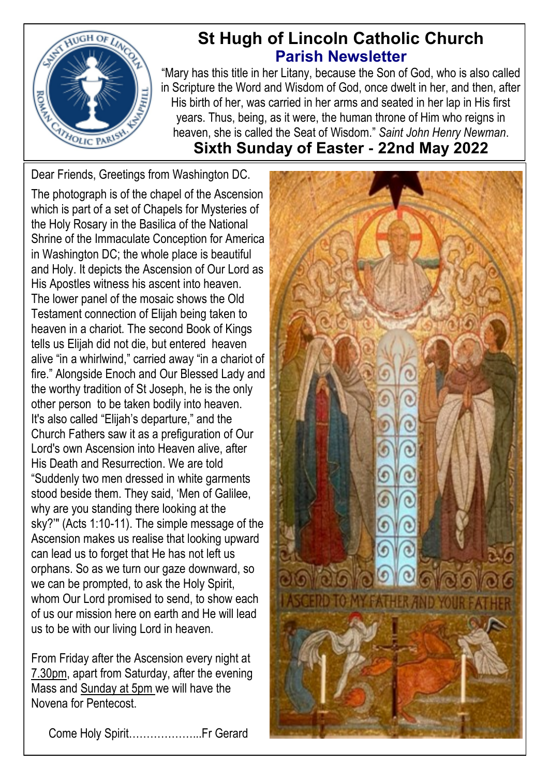

# **St Hugh of Lincoln Catholic Church Parish Newsletter**

"Mary has this title in her Litany, because the Son of God, who is also called in Scripture the Word and Wisdom of God, once dwelt in her, and then, after His birth of her, was carried in her arms and seated in her lap in His first years. Thus, being, as it were, the human throne of Him who reigns in heaven, she is called the Seat of Wisdom." *Saint John Henry Newman*. **Sixth Sunday of Easter - 22nd May 2022**

Dear Friends, Greetings from Washington DC.

The photograph is of the chapel of the Ascension which is part of a set of Chapels for Mysteries of the Holy Rosary in the Basilica of the National Shrine of the Immaculate Conception for America in Washington DC; the whole place is beautiful and Holy. It depicts the Ascension of Our Lord as His Apostles witness his ascent into heaven. The lower panel of the mosaic shows the Old Testament connection of Elijah being taken to heaven in a chariot. The second Book of Kings tells us Elijah did not die, but entered heaven alive "in a whirlwind," carried away "in a chariot of fire." Alongside Enoch and Our Blessed Lady and the worthy tradition of St Joseph, he is the only other person to be taken bodily into heaven. It's also called "Elijah's departure," and the Church Fathers saw it as a prefiguration of Our Lord's own Ascension into Heaven alive, after His Death and Resurrection. We are told "Suddenly two men dressed in white garments stood beside them. They said, 'Men of Galilee, why are you standing there looking at the sky?'" (Acts 1:10-11). The simple message of the Ascension makes us realise that looking upward can lead us to forget that He has not left us orphans. So as we turn our gaze downward, so we can be prompted, to ask the Holy Spirit, whom Our Lord promised to send, to show each of us our mission here on earth and He will lead us to be with our living Lord in heaven.

From Friday after the Ascension every night at 7.30pm, apart from Saturday, after the evening Mass and Sunday at 5pm we will have the Novena for Pentecost.

Come Holy Spirit………………...Fr Gerard

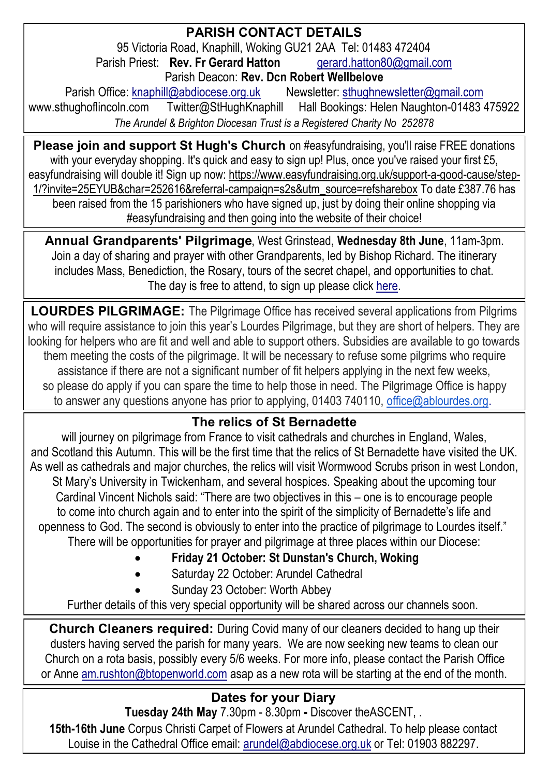#### **PARISH CONTACT DETAILS** 95 Victoria Road, Knaphill, Woking GU21 2AA Tel: 01483 472404<br>sh Priest: **Rev. Fr Gerard Hatton** arrard hatton80@gmail.com Parish Priest: **Rev. Fr Gerard Hatton** Parish Deacon: **Rev. Dcn Robert Wellbelove** Parish Office: [knaphill@abdiocese.org.uk](mailto:knaphill@abdiocese.org.uk) Newsletter: [sthughnewsletter@gmail.com](mailto:sthughnewsletter@gmail.com)<br>www.sthughoflincoln.com Twitter@StHughKnaphill Hall Bookings: Helen Naughton-01483 Twitter@StHughKnaphill Hall Bookings: Helen Naughton-01483 475922 *The Arundel & Brighton Diocesan Trust is a Registered Charity No 252878*

**Please join and support St Hugh's Church** on #easyfundraising, you'll raise FREE donations with your everyday shopping. It's quick and easy to sign up! Plus, once you've raised your first £5, easyfundraising will double it! Sign up now: [https://www.easyfundraising.org.uk/support-a-good-cause/step-](https://www.easyfundraising.org.uk/support-a-good-cause/step-1/?invite=25EYUB&char=252616&referral-campaign=s2s&utm_source=refsharebox)[1/?invite=25EYUB&char=252616&referral-campaign=s2s&utm\\_source=refsharebox](https://www.easyfundraising.org.uk/support-a-good-cause/step-1/?invite=25EYUB&char=252616&referral-campaign=s2s&utm_source=refsharebox) To date £387.76 has been raised from the 15 parishioners who have signed up, just by doing their online shopping via #easyfundraising and then going into the website of their choice!

**Annual Grandparents' Pilgrimage**, West Grinstead, **Wednesday 8th June**, 11am-3pm. Join a day of sharing and prayer with other Grandparents, led by Bishop Richard. The itinerary includes Mass, Benediction, the Rosary, tours of the secret chapel, and opportunities to chat. The day is free to attend, to sign up please [click here.](https://abdiocese.us9.list-manage.com/track/click?u=6ad3715cf61665df736c264a6&id=cbc3967618&e=d2c363f876)

**LOURDES PILGRIMAGE:** The Pilgrimage Office has received several applications from Pilgrims who will require assistance to join this year's Lourdes Pilgrimage, but they are short of helpers. They are looking for helpers who are fit and well and able to support others. Subsidies are available to go towards them meeting the costs of the pilgrimage. It will be necessary to refuse some pilgrims who require assistance if there are not a significant number of fit helpers applying in the next few weeks, so please do apply if you can spare the time to help those in need. The Pilgrimage Office is happy to answer any questions anyone has prior to applying, 01403 740110, [office@ablourdes.org.](mailto:office@ablourdes.org)

# **The relics of St Bernadette**

will journey on pilgrimage from France to visit cathedrals and churches in England, Wales, and Scotland this Autumn. This will be the first time that the relics of St Bernadette have visited the UK. As well as cathedrals and major churches, the relics will visit Wormwood Scrubs prison in west London, St Mary's University in Twickenham, and several hospices. Speaking about the upcoming tour Cardinal Vincent Nichols said: "There are two objectives in this – one is to encourage people to come into church again and to enter into the spirit of the simplicity of Bernadette's life and openness to God. The second is obviously to enter into the practice of pilgrimage to Lourdes itself." There will be opportunities for prayer and pilgrimage at three places within our Diocese:

- **Friday 21 October: St Dunstan's Church, Woking**
- Saturday 22 October: Arundel Cathedral
- Sunday 23 October: Worth Abbey

Further details of this very special opportunity will be shared across our channels soon.

**Church Cleaners required:** During Covid many of our cleaners decided to hang up their dusters having served the parish for many years. We are now seeking new teams to clean our Church on a rota basis, possibly every 5/6 weeks. For more info, please contact the Parish Office or Anne [am.rushton@btopenworld.com](mailto:am.rushton@btopenworld.com) asap as a new rota will be starting at the end of the month.

# **Dates for your Diary**

**Tuesday 24th May** 7.30pm - 8.30pm **-** Discover [theASCENT,](https://abdiocese.us9.list-manage.com/track/click?u=6ad3715cf61665df736c264a6&id=4861406d37&e=d2c363f876) . **15th-16th June** Corpus Christi Carpet of Flowers at Arundel Cathedral. To help please contact Louise in the Cathedral Office email: [arundel@abdiocese.org.uk](mailto:arundel@abdiocese.org.uk) or Tel: 01903 882297.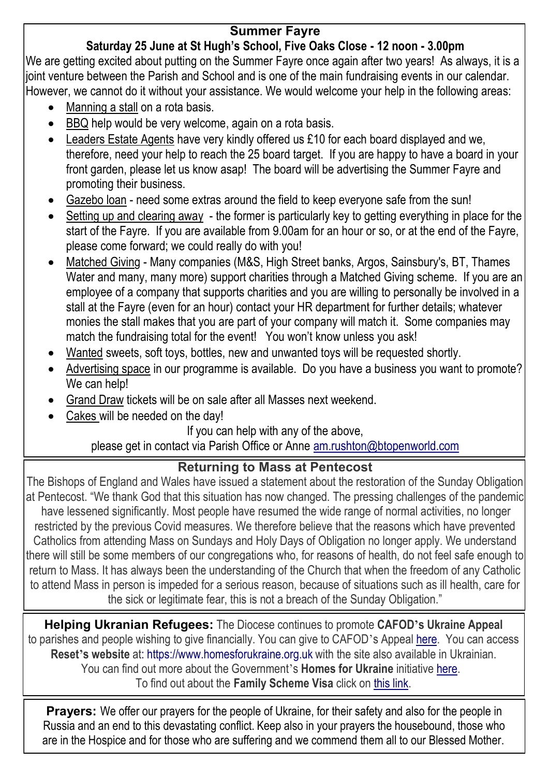### **Summer Fayre**

#### **Saturday 25 June at St Hugh's School, Five Oaks Close - 12 noon - 3.00pm**

We are getting excited about putting on the Summer Fayre once again after two years! As always, it is a joint venture between the Parish and School and is one of the main fundraising events in our calendar. However, we cannot do it without your assistance. We would welcome your help in the following areas:

- Manning a stall on a rota basis.
- BBQ help would be very welcome, again on a rota basis.
- Leaders Estate Agents have very kindly offered us £10 for each board displayed and we, therefore, need your help to reach the 25 board target. If you are happy to have a board in your front garden, please let us know asap! The board will be advertising the Summer Fayre and promoting their business.
- Gazebo loan need some extras around the field to keep everyone safe from the sun!
- Setting up and clearing away the former is particularly key to getting everything in place for the start of the Fayre. If you are available from 9.00am for an hour or so, or at the end of the Fayre, please come forward; we could really do with you!
- Matched Giving Many companies (M&S, High Street banks, Argos, Sainsbury's, BT, Thames Water and many, many more) support charities through a Matched Giving scheme. If you are an employee of a company that supports charities and you are willing to personally be involved in a stall at the Fayre (even for an hour) contact your HR department for further details; whatever monies the stall makes that you are part of your company will match it. Some companies may match the fundraising total for the event! You won't know unless you ask!
- Wanted sweets, soft toys, bottles, new and unwanted toys will be requested shortly.
- Advertising space in our programme is available. Do you have a business you want to promote? We can help!
- Grand Draw tickets will be on sale after all Masses next weekend.
- Cakes will be needed on the day!

#### If you can help with any of the above,

# please get in contact via Parish Office or Anne [am.rushton@btopenworld.com](mailto:am.rushton@btopenworld.com)

#### **Returning to Mass at Pentecost**

The Bishops of England and Wales have issued a statement about the restoration of the Sunday Obligation at Pentecost. "We thank God that this situation has now changed. The pressing challenges of the pandemic have lessened significantly. Most people have resumed the wide range of normal activities, no longer restricted by the previous Covid measures. We therefore believe that the reasons which have prevented Catholics from attending Mass on Sundays and Holy Days of Obligation no longer apply. We understand there will still be some members of our congregations who, for reasons of health, do not feel safe enough to return to Mass. It has always been the understanding of the Church that when the freedom of any Catholic to attend Mass in person is impeded for a serious reason, because of situations such as ill health, care for the sick or legitimate fear, this is not a breach of the Sunday Obligation."

**Helping Ukranian Refugees:** The Diocese continues to promote **CAFOD's Ukraine Appeal** to parishes and people wishing to give financially. You can give to CAFOD's Appeal [here.](https://cafod.org.uk/Give) You can access **Reset's website** at: [https://www.homesforukraine.org.uk](https://www.homesforukraine.org.uk/) with the site also available in Ukrainian. You can find out more about the Government's **Homes for Ukraine** initiative [here.](https://homesforukraine.campaign.gov.uk/) To find out about the **Family Scheme Visa** click on [this link.](https://www.gov.uk/guidance/apply-for-a-ukraine-family-scheme-visa)

**Prayers:** We offer our prayers for the people of Ukraine, for their safety and also for the people in Russia and an end to this devastating conflict. Keep also in your prayers the housebound, those who are in the Hospice and for those who are suffering and we commend them all to our Blessed Mother.